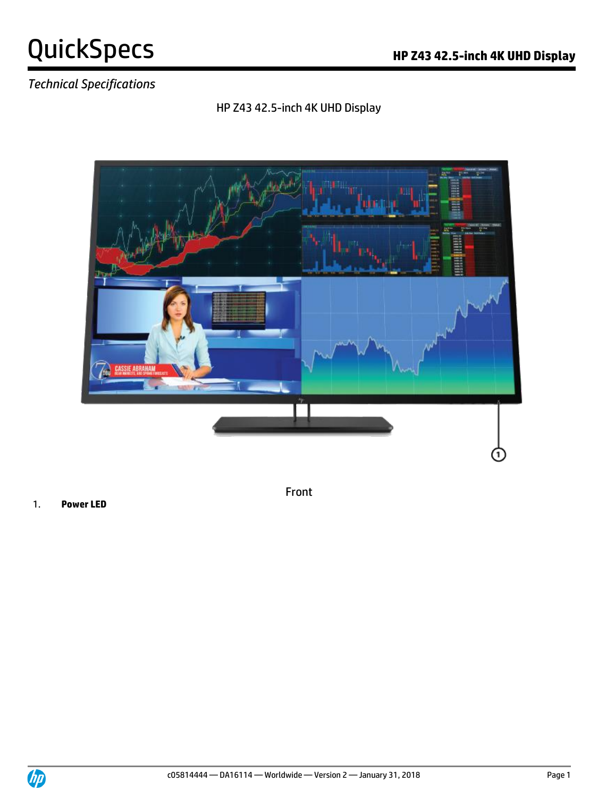### *Technical Specifications*

#### HP Z43 42.5-inch 4K UHD Display



1. **Power LED**

Front

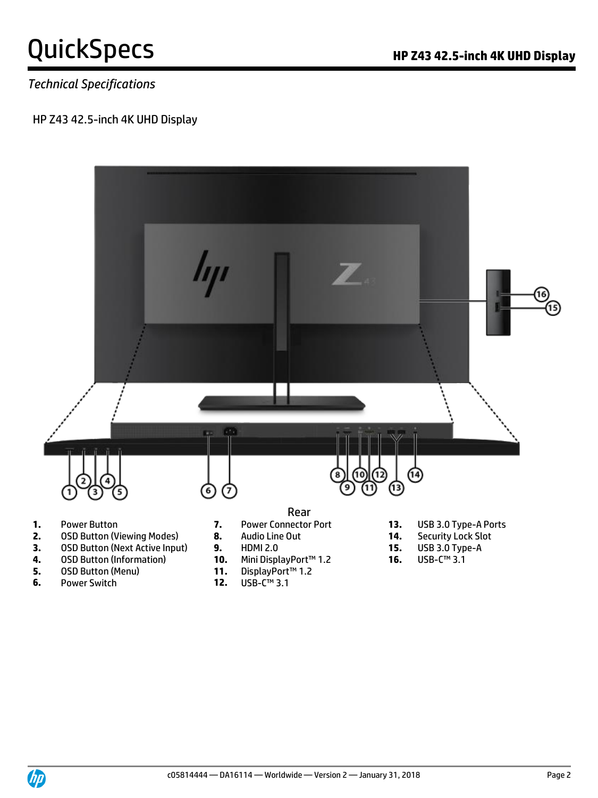#### *Technical Specifications*

#### HP Z43 42.5-inch 4K UHD Display



- **5.** OSD Button (Menu) **11.** DisplayPort<br> **12.** USB-C™ 3.1
- **6.** Power Switch **12.**
- -

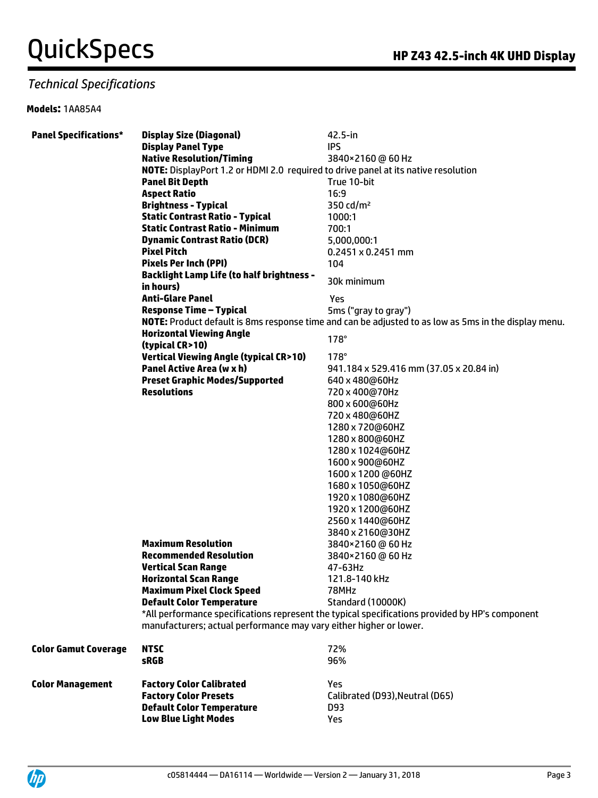#### *Technical Specifications*

#### **Models:** 1AA85A4

| <b>Panel Specifications*</b> | <b>Display Size (Diagonal)</b>                                                     | $42.5$ -in                                                                                                  |
|------------------------------|------------------------------------------------------------------------------------|-------------------------------------------------------------------------------------------------------------|
|                              | <b>Display Panel Type</b>                                                          | <b>IPS</b>                                                                                                  |
|                              | <b>Native Resolution/Timing</b>                                                    | 3840×2160@60Hz                                                                                              |
|                              | NOTE: DisplayPort 1.2 or HDMI 2.0 required to drive panel at its native resolution |                                                                                                             |
|                              | <b>Panel Bit Depth</b>                                                             | True 10-bit                                                                                                 |
|                              | <b>Aspect Ratio</b>                                                                | 16:9                                                                                                        |
|                              | <b>Brightness - Typical</b>                                                        | 350 cd/m <sup>2</sup>                                                                                       |
|                              | <b>Static Contrast Ratio - Typical</b>                                             | 1000:1                                                                                                      |
|                              | <b>Static Contrast Ratio - Minimum</b>                                             | 700:1                                                                                                       |
|                              | <b>Dynamic Contrast Ratio (DCR)</b>                                                | 5,000,000:1                                                                                                 |
|                              | <b>Pixel Pitch</b>                                                                 | $0.2451 \times 0.2451$ mm                                                                                   |
|                              | <b>Pixels Per Inch (PPI)</b>                                                       | 104                                                                                                         |
|                              | <b>Backlight Lamp Life (to half brightness -</b>                                   |                                                                                                             |
|                              | in hours)                                                                          | 30k minimum                                                                                                 |
|                              | <b>Anti-Glare Panel</b>                                                            | Yes                                                                                                         |
|                              | <b>Response Time - Typical</b>                                                     | 5ms ("gray to gray")                                                                                        |
|                              |                                                                                    | <b>NOTE:</b> Product default is 8ms response time and can be adjusted to as low as 5ms in the display menu. |
|                              | <b>Horizontal Viewing Angle</b>                                                    |                                                                                                             |
|                              | (typical CR>10)                                                                    | $178^\circ$                                                                                                 |
|                              | <b>Vertical Viewing Angle (typical CR&gt;10)</b>                                   | $178^\circ$                                                                                                 |
|                              | Panel Active Area (w x h)                                                          | 941.184 x 529.416 mm (37.05 x 20.84 in)                                                                     |
|                              | <b>Preset Graphic Modes/Supported</b>                                              | 640 x 480@60Hz                                                                                              |
|                              | <b>Resolutions</b>                                                                 | 720 x 400@70Hz                                                                                              |
|                              |                                                                                    | 800 x 600@60Hz                                                                                              |
|                              |                                                                                    | 720 x 480@60HZ                                                                                              |
|                              |                                                                                    | 1280 x 720@60HZ                                                                                             |
|                              |                                                                                    | 1280 x 800@60HZ                                                                                             |
|                              |                                                                                    | 1280 x 1024@60HZ                                                                                            |
|                              |                                                                                    | 1600 x 900@60HZ                                                                                             |
|                              |                                                                                    | 1600 x 1200 @60HZ                                                                                           |
|                              |                                                                                    |                                                                                                             |
|                              |                                                                                    | 1680 x 1050@60HZ<br>1920 x 1080@60HZ                                                                        |
|                              |                                                                                    |                                                                                                             |
|                              |                                                                                    | 1920 x 1200@60HZ                                                                                            |
|                              |                                                                                    | 2560 x 1440@60HZ                                                                                            |
|                              |                                                                                    | 3840 x 2160@30HZ                                                                                            |
|                              | <b>Maximum Resolution</b><br><b>Recommended Resolution</b>                         | 3840×2160@60Hz                                                                                              |
|                              | <b>Vertical Scan Range</b>                                                         | 3840×2160 @ 60 Hz                                                                                           |
|                              | <b>Horizontal Scan Range</b>                                                       | 47-63Hz                                                                                                     |
|                              |                                                                                    | 121.8-140 kHz                                                                                               |
|                              | <b>Maximum Pixel Clock Speed</b><br><b>Default Color Temperature</b>               | 78MHz                                                                                                       |
|                              |                                                                                    | Standard (10000K)                                                                                           |
|                              |                                                                                    | *All performance specifications represent the typical specifications provided by HP's component             |
|                              | manufacturers; actual performance may vary either higher or lower.                 |                                                                                                             |
| <b>Color Gamut Coverage</b>  | <b>NTSC</b>                                                                        | 72%                                                                                                         |
|                              | <b>sRGB</b>                                                                        | 96%                                                                                                         |
|                              |                                                                                    |                                                                                                             |
| <b>Color Management</b>      | <b>Factory Color Calibrated</b>                                                    | Yes                                                                                                         |
|                              | <b>Factory Color Presets</b>                                                       | Calibrated (D93), Neutral (D65)                                                                             |
|                              | <b>Default Color Temperature</b>                                                   | D93                                                                                                         |
|                              | <b>Low Blue Light Modes</b>                                                        | Yes                                                                                                         |

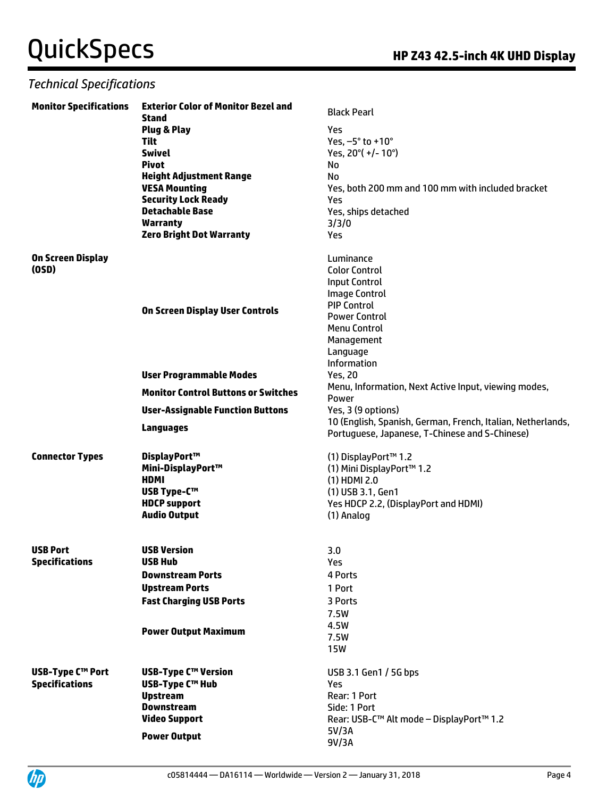| <b>Monitor Specifications</b> | <b>Exterior Color of Monitor Bezel and</b><br><b>Stand</b> | <b>Black Pearl</b>                                          |
|-------------------------------|------------------------------------------------------------|-------------------------------------------------------------|
|                               | Plug & Play                                                | Yes                                                         |
|                               | Tilt                                                       | Yes, -5° to +10°                                            |
|                               | <b>Swivel</b>                                              | Yes, 20°(+/-10°)                                            |
|                               | <b>Pivot</b>                                               | No                                                          |
|                               | <b>Height Adjustment Range</b>                             | No                                                          |
|                               | <b>VESA Mounting</b>                                       | Yes, both 200 mm and 100 mm with included bracket           |
|                               | <b>Security Lock Ready</b>                                 | Yes                                                         |
|                               | <b>Detachable Base</b>                                     | Yes, ships detached                                         |
|                               | <b>Warranty</b>                                            | 3/3/0                                                       |
|                               | <b>Zero Bright Dot Warranty</b>                            | Yes                                                         |
|                               |                                                            |                                                             |
| On Screen Display             |                                                            | Luminance                                                   |
| (OSD)                         |                                                            | <b>Color Control</b>                                        |
|                               |                                                            | <b>Input Control</b>                                        |
|                               |                                                            | <b>Image Control</b>                                        |
|                               |                                                            | <b>PIP Control</b>                                          |
|                               | On Screen Display User Controls                            | <b>Power Control</b>                                        |
|                               |                                                            | <b>Menu Control</b>                                         |
|                               |                                                            | Management                                                  |
|                               |                                                            | Language                                                    |
|                               |                                                            | Information                                                 |
|                               | <b>User Programmable Modes</b>                             | <b>Yes, 20</b>                                              |
|                               |                                                            | Menu, Information, Next Active Input, viewing modes,        |
|                               | <b>Monitor Control Buttons or Switches</b>                 | Power                                                       |
|                               | <b>User-Assignable Function Buttons</b>                    | Yes, 3 (9 options)                                          |
|                               | <b>Languages</b>                                           | 10 (English, Spanish, German, French, Italian, Netherlands, |
|                               |                                                            | Portuguese, Japanese, T-Chinese and S-Chinese)              |
|                               |                                                            |                                                             |
| <b>Connector Types</b>        | DisplayPort™                                               | (1) DisplayPort™ 1.2                                        |
|                               | Mini-DisplayPort™                                          | (1) Mini DisplayPort™ 1.2                                   |
|                               | <b>HDMI</b>                                                | $(1)$ HDMI 2.0                                              |
|                               | <b>USB Type-C™</b>                                         | (1) USB 3.1, Gen1                                           |
|                               | <b>HDCP</b> support                                        | Yes HDCP 2.2, (DisplayPort and HDMI)                        |
|                               | <b>Audio Output</b>                                        | (1) Analog                                                  |
|                               |                                                            |                                                             |
| <b>USB Port</b>               | <b>USB Version</b>                                         | 3.0                                                         |
| <b>Specifications</b>         | <b>USB Hub</b>                                             | Yes                                                         |
|                               | <b>Downstream Ports</b>                                    | 4 Ports                                                     |
|                               | <b>Upstream Ports</b>                                      | 1 Port                                                      |
|                               |                                                            |                                                             |
|                               | <b>Fast Charging USB Ports</b>                             | 3 Ports                                                     |
|                               |                                                            | 7.5W                                                        |
|                               | <b>Power Output Maximum</b>                                | 4.5W                                                        |
|                               |                                                            | 7.5W                                                        |
|                               |                                                            | <b>15W</b>                                                  |
| <b>USB-Type C™ Port</b>       | <b>USB-Type C™ Version</b>                                 | USB 3.1 Gen1 / 5G bps                                       |
| <b>Specifications</b>         | <b>USB-Type C™ Hub</b>                                     | Yes                                                         |
|                               | <b>Upstream</b>                                            | Rear: 1 Port                                                |
|                               | <b>Downstream</b>                                          | Side: 1 Port                                                |
|                               | <b>Video Support</b>                                       | Rear: USB-C™ Alt mode - DisplayPort™ 1.2                    |
|                               |                                                            | 5V/3A                                                       |
|                               | <b>Power Output</b>                                        | 9V/3A                                                       |
|                               |                                                            |                                                             |

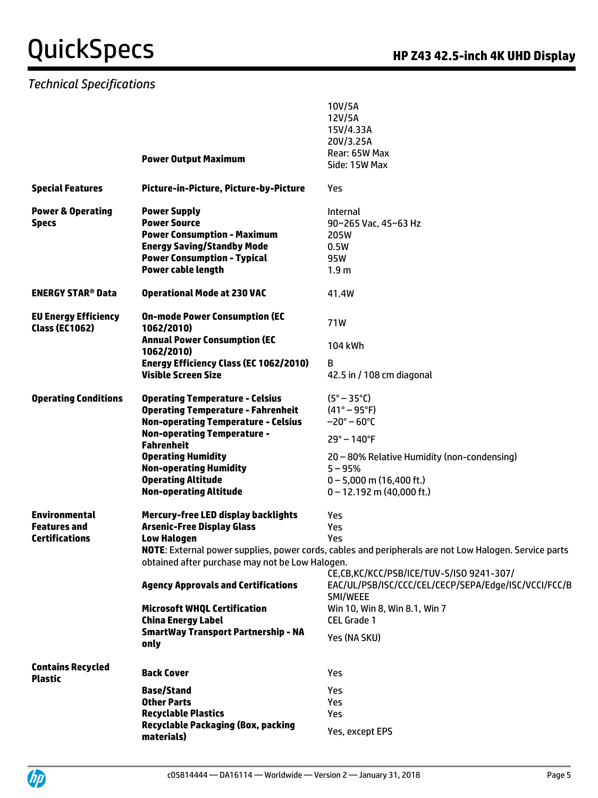|                                                      |                                                           | 10V/5A<br>12V/5A                                                                                      |
|------------------------------------------------------|-----------------------------------------------------------|-------------------------------------------------------------------------------------------------------|
|                                                      |                                                           | 15V/4.33A                                                                                             |
|                                                      |                                                           | 20V/3.25A                                                                                             |
|                                                      | <b>Power Output Maximum</b>                               | Rear: 65W Max                                                                                         |
|                                                      |                                                           | Side: 15W Max                                                                                         |
| <b>Special Features</b>                              | Picture-in-Picture, Picture-by-Picture                    | Yes                                                                                                   |
| <b>Power &amp; Operating</b>                         | <b>Power Supply</b>                                       | <b>Internal</b>                                                                                       |
| <b>Specs</b>                                         | <b>Power Source</b><br><b>Power Consumption - Maximum</b> | 90~265 Vac. 45~63 Hz<br>205W                                                                          |
|                                                      | <b>Energy Saving/Standby Mode</b>                         | 0.5W                                                                                                  |
|                                                      | <b>Power Consumption - Typical</b>                        | 95W                                                                                                   |
|                                                      | Power cable length                                        | 1.9 <sub>m</sub>                                                                                      |
| <b>ENERGY STAR<sup>®</sup> Data</b>                  | <b>Operational Mode at 230 VAC</b>                        | 41.4W                                                                                                 |
| <b>EU Energy Efficiency</b><br><b>Class (EC1062)</b> | <b>On-mode Power Consumption (EC</b><br>1062/2010)        | 71W                                                                                                   |
|                                                      | <b>Annual Power Consumption (EC</b><br>1062/2010)         | 104 kWh                                                                                               |
|                                                      | Energy Efficiency Class (EC 1062/2010)                    | в                                                                                                     |
|                                                      | <b>Visible Screen Size</b>                                | 42.5 in / 108 cm diagonal                                                                             |
| <b>Operating Conditions</b>                          | <b>Operating Temperature - Celsius</b>                    | $(S^\circ - 35^\circ C)$                                                                              |
|                                                      | <b>Operating Temperature - Fahrenheit</b>                 | $(41^{\circ} - 95^{\circ}F)$                                                                          |
|                                                      | <b>Non-operating Temperature - Celsius</b>                | $-20^{\circ} - 60^{\circ}$ C                                                                          |
|                                                      | <b>Non-operating Temperature -</b><br><b>Fahrenheit</b>   | $29^{\circ} - 140^{\circ}$ F                                                                          |
|                                                      | <b>Operating Humidity</b>                                 | 20 - 80% Relative Humidity (non-condensing)                                                           |
|                                                      | <b>Non-operating Humidity</b>                             | $5 - 95%$                                                                                             |
|                                                      | <b>Operating Altitude</b>                                 | $0 - 5,000$ m (16,400 ft.)                                                                            |
|                                                      | <b>Non-operating Altitude</b>                             | $0 - 12.192$ m (40,000 ft.)                                                                           |
| <b>Environmental</b>                                 | <b>Mercury-free LED display backlights</b>                | Yes                                                                                                   |
| <b>Features and</b>                                  | <b>Arsenic-Free Display Glass</b>                         | Yes                                                                                                   |
| <b>Certifications</b>                                | <b>Low Halogen</b>                                        | Yes                                                                                                   |
|                                                      |                                                           | NOTE: External power supplies, power cords, cables and peripherals are not Low Halogen. Service parts |
|                                                      | obtained after purchase may not be Low Halogen.           | CE,CB,KC/KCC/PSB/ICE/TUV-S/ISO 9241-307/                                                              |
|                                                      | <b>Agency Approvals and Certifications</b>                | EAC/UL/PSB/ISC/CCC/CEL/CECP/SEPA/Edge/ISC/VCCI/FCC/B<br>SMI/WEEE                                      |
|                                                      | <b>Microsoft WHQL Certification</b>                       | Win 10, Win 8, Win 8.1, Win 7                                                                         |
|                                                      | <b>China Energy Label</b>                                 | CEL Grade 1                                                                                           |
|                                                      | <b>SmartWay Transport Partnership - NA</b><br>only        | Yes (NA SKU)                                                                                          |
|                                                      |                                                           |                                                                                                       |
| <b>Contains Recycled</b><br><b>Plastic</b>           | <b>Back Cover</b>                                         | Yes                                                                                                   |
|                                                      | <b>Base/Stand</b>                                         | Yes                                                                                                   |
|                                                      | <b>Other Parts</b>                                        | <b>Yes</b>                                                                                            |
|                                                      | <b>Recyclable Plastics</b>                                | Yes                                                                                                   |
|                                                      | <b>Recyclable Packaging (Box, packing</b><br>materials)   | Yes, except EPS                                                                                       |
|                                                      |                                                           |                                                                                                       |

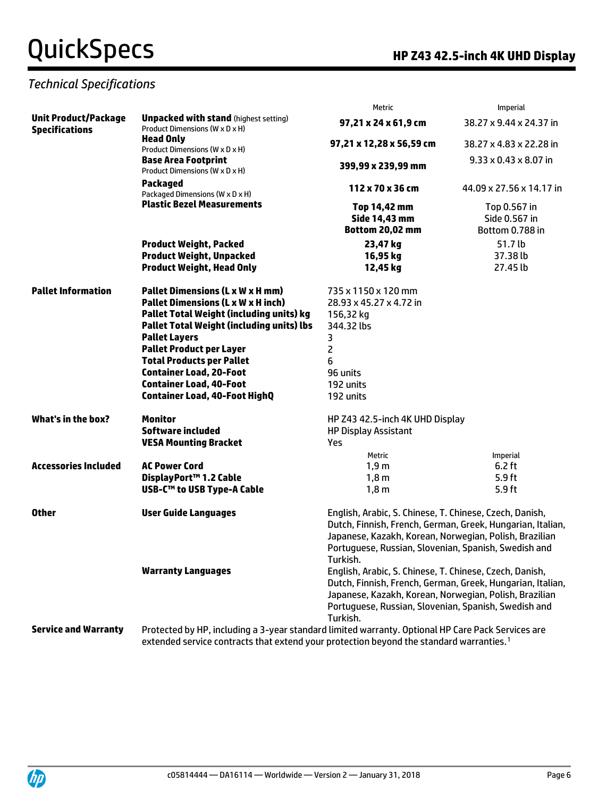|                                                      |                                                                                                                                                                                                                                                                                                 | Metric                                                                                                                                                                                                                                              | Imperial                          |  |
|------------------------------------------------------|-------------------------------------------------------------------------------------------------------------------------------------------------------------------------------------------------------------------------------------------------------------------------------------------------|-----------------------------------------------------------------------------------------------------------------------------------------------------------------------------------------------------------------------------------------------------|-----------------------------------|--|
| <b>Unit Product/Package</b><br><b>Specifications</b> | <b>Unpacked with stand (highest setting)</b><br>Product Dimensions (W x D x H)<br><b>Head Only</b><br>Product Dimensions (W x D x H)<br><b>Base Area Footprint</b><br>Product Dimensions (W x D x H)<br><b>Packaged</b><br>Packaged Dimensions (W x D x H)<br><b>Plastic Bezel Measurements</b> | 97,21 x 24 x 61,9 cm                                                                                                                                                                                                                                | 38.27 x 9.44 x 24.37 in           |  |
|                                                      |                                                                                                                                                                                                                                                                                                 | 97,21 x 12,28 x 56,59 cm                                                                                                                                                                                                                            | 38.27 x 4.83 x 22.28 in           |  |
|                                                      |                                                                                                                                                                                                                                                                                                 | 399,99 x 239,99 mm                                                                                                                                                                                                                                  | $9.33 \times 0.43 \times 8.07$ in |  |
|                                                      |                                                                                                                                                                                                                                                                                                 | 112 x 70 x 36 cm                                                                                                                                                                                                                                    | 44.09 x 27.56 x 14.17 in          |  |
|                                                      |                                                                                                                                                                                                                                                                                                 | Top 14,42 mm                                                                                                                                                                                                                                        | Top 0.567 in                      |  |
|                                                      |                                                                                                                                                                                                                                                                                                 | Side 14,43 mm                                                                                                                                                                                                                                       | Side 0.567 in                     |  |
|                                                      |                                                                                                                                                                                                                                                                                                 | <b>Bottom 20,02 mm</b>                                                                                                                                                                                                                              | Bottom 0.788 in                   |  |
|                                                      | <b>Product Weight, Packed</b>                                                                                                                                                                                                                                                                   | 23,47 kg                                                                                                                                                                                                                                            | 51.7 lb                           |  |
|                                                      | <b>Product Weight, Unpacked</b>                                                                                                                                                                                                                                                                 | 16,95 kg                                                                                                                                                                                                                                            | 37.38 lb                          |  |
|                                                      | <b>Product Weight, Head Only</b>                                                                                                                                                                                                                                                                | 12,45 kg                                                                                                                                                                                                                                            | 27.45 lb                          |  |
| <b>Pallet Information</b>                            | <b>Pallet Dimensions (L x W x H mm)</b>                                                                                                                                                                                                                                                         | 735 x 1150 x 120 mm                                                                                                                                                                                                                                 |                                   |  |
|                                                      | <b>Pallet Dimensions (L x W x H inch)</b>                                                                                                                                                                                                                                                       | 28.93 x 45.27 x 4.72 in                                                                                                                                                                                                                             |                                   |  |
|                                                      | Pallet Total Weight (including units) kg                                                                                                                                                                                                                                                        | 156,32 kg                                                                                                                                                                                                                                           |                                   |  |
|                                                      | <b>Pallet Total Weight (including units) lbs</b>                                                                                                                                                                                                                                                | 344.32 lbs                                                                                                                                                                                                                                          |                                   |  |
|                                                      | <b>Pallet Layers</b>                                                                                                                                                                                                                                                                            | 3                                                                                                                                                                                                                                                   |                                   |  |
|                                                      | <b>Pallet Product per Layer</b>                                                                                                                                                                                                                                                                 | $\overline{\mathsf{c}}$                                                                                                                                                                                                                             |                                   |  |
|                                                      | <b>Total Products per Pallet</b>                                                                                                                                                                                                                                                                | 6                                                                                                                                                                                                                                                   |                                   |  |
|                                                      | <b>Container Load, 20-Foot</b>                                                                                                                                                                                                                                                                  | 96 units                                                                                                                                                                                                                                            |                                   |  |
|                                                      | <b>Container Load, 40-Foot</b>                                                                                                                                                                                                                                                                  | 192 units                                                                                                                                                                                                                                           |                                   |  |
|                                                      | <b>Container Load, 40-Foot HighQ</b>                                                                                                                                                                                                                                                            | 192 units                                                                                                                                                                                                                                           |                                   |  |
| <b>What's in the box?</b>                            | <b>Monitor</b>                                                                                                                                                                                                                                                                                  | HP Z43 42.5-inch 4K UHD Display                                                                                                                                                                                                                     |                                   |  |
|                                                      | <b>Software included</b>                                                                                                                                                                                                                                                                        | <b>HP Display Assistant</b>                                                                                                                                                                                                                         |                                   |  |
|                                                      | <b>VESA Mounting Bracket</b>                                                                                                                                                                                                                                                                    | Yes                                                                                                                                                                                                                                                 |                                   |  |
|                                                      |                                                                                                                                                                                                                                                                                                 | Metric                                                                                                                                                                                                                                              | Imperial                          |  |
| <b>Accessories Included</b>                          | <b>AC Power Cord</b>                                                                                                                                                                                                                                                                            | 1,9m                                                                                                                                                                                                                                                | $6.2$ ft                          |  |
|                                                      | DisplayPort™ 1.2 Cable                                                                                                                                                                                                                                                                          | 1,8m                                                                                                                                                                                                                                                | 5.9 <sub>ft</sub>                 |  |
|                                                      | USB-C™ to USB Type-A Cable                                                                                                                                                                                                                                                                      | 1,8m                                                                                                                                                                                                                                                | 5.9 <sub>ft</sub>                 |  |
| <b>Other</b>                                         | <b>User Guide Languages</b>                                                                                                                                                                                                                                                                     | English, Arabic, S. Chinese, T. Chinese, Czech, Danish,<br>Dutch, Finnish, French, German, Greek, Hungarian, Italian,<br>Japanese, Kazakh, Korean, Norwegian, Polish, Brazilian<br>Portuguese, Russian, Slovenian, Spanish, Swedish and<br>Turkish. |                                   |  |
|                                                      | <b>Warranty Languages</b>                                                                                                                                                                                                                                                                       | English, Arabic, S. Chinese, T. Chinese, Czech, Danish,<br>Dutch, Finnish, French, German, Greek, Hungarian, Italian,<br>Japanese, Kazakh, Korean, Norwegian, Polish, Brazilian<br>Portuguese, Russian, Slovenian, Spanish, Swedish and<br>Turkish. |                                   |  |
| <b>Service and Warranty</b>                          | Protected by HP, including a 3-year standard limited warranty. Optional HP Care Pack Services are                                                                                                                                                                                               |                                                                                                                                                                                                                                                     |                                   |  |
|                                                      | extended service contracts that extend your protection beyond the standard warranties. <sup>1</sup>                                                                                                                                                                                             |                                                                                                                                                                                                                                                     |                                   |  |

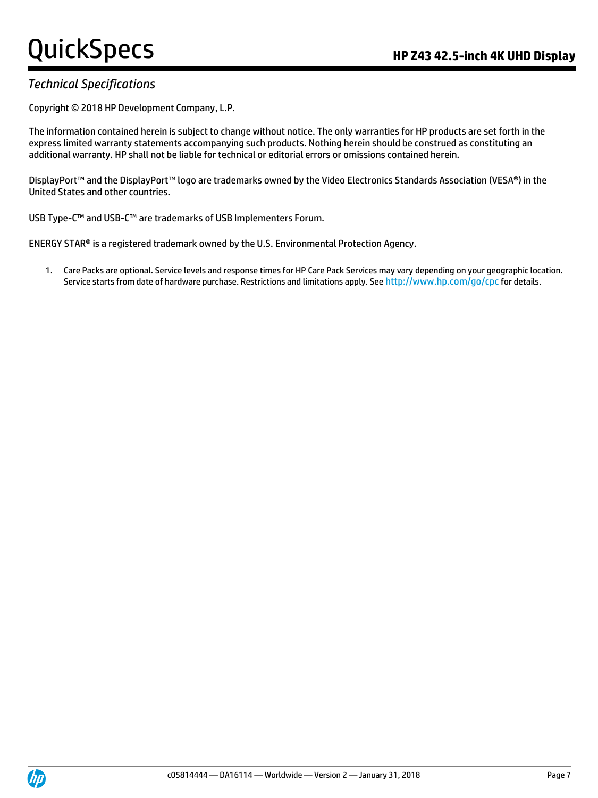#### *Technical Specifications*

Copyright © 2018 HP Development Company, L.P.

The information contained herein is subject to change without notice. The only warranties for HP products are set forth in the express limited warranty statements accompanying such products. Nothing herein should be construed as constituting an additional warranty. HP shall not be liable for technical or editorial errors or omissions contained herein.

DisplayPort™ and the DisplayPort™ logo are trademarks owned by the Video Electronics Standards Association (VESA®) in the United States and other countries.

USB Type-C™ and USB-C™ are trademarks of USB Implementers Forum.

ENERGY STAR® is a registered trademark owned by the U.S. Environmental Protection Agency.

1. Care Packs are optional. Service levels and response times for HP Care Pack Services may vary depending on your geographic location. Service starts from date of hardware purchase. Restrictions and limitations apply. See http://www.hp.com/qo/cpc for details.